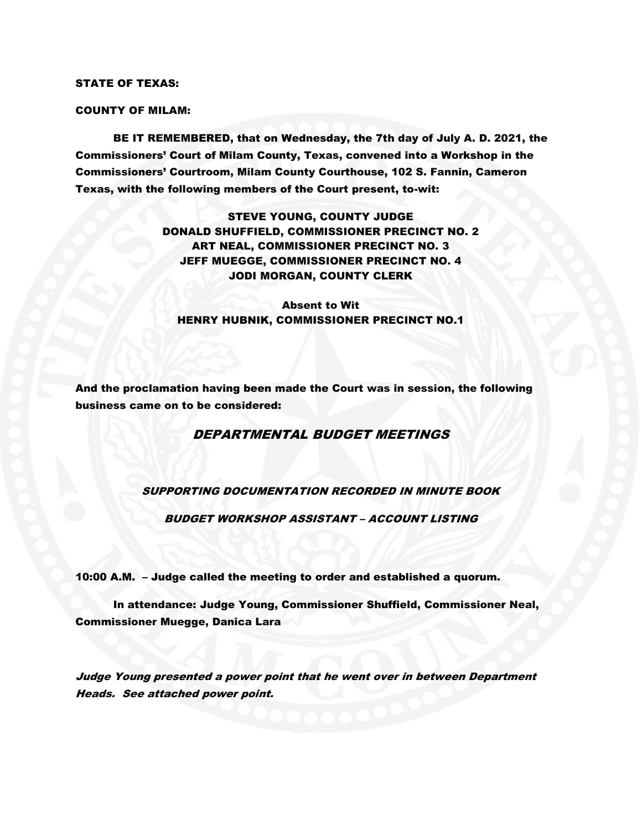#### STATE OF TEXAS:

#### COUNTY OF MILAM:

BE IT REMEMBERED, that on Wednesday, the 7th day of July A. D. 2021, the Commissioners' Court of Milam County, Texas, convened into a Workshop in the Commissioners' Courtroom, Milam County Courthouse, 102 S. Fannin, Cameron Texas, with the following members of the Court present, to-wit:

> STEVE YOUNG, COUNTY JUDGE DONALD SHUFFIELD, COMMISSIONER PRECINCT NO. 2 ART NEAL, COMMISSIONER PRECINCT NO. 3 JEFF MUEGGE, COMMISSIONER PRECINCT NO. 4 JODI MORGAN, COUNTY CLERK

Absent to Wit HENRY HUBNIK, COMMISSIONER PRECINCT NO.1

And the proclamation having been made the Court was in session, the following business came on to be considered:

## DEPARTMENTAL BUDGET MEETINGS

## SUPPORTING DOCUMENTATION RECORDED IN MINUTE BOOK

BUDGET WORKSHOP ASSISTANT – ACCOUNT LISTING

10:00 A.M. – Judge called the meeting to order and established a quorum.

In attendance: Judge Young, Commissioner Shuffield, Commissioner Neal, Commissioner Muegge, Danica Lara

Judge Young presented a power point that he went over in between Department Heads. See attached power point.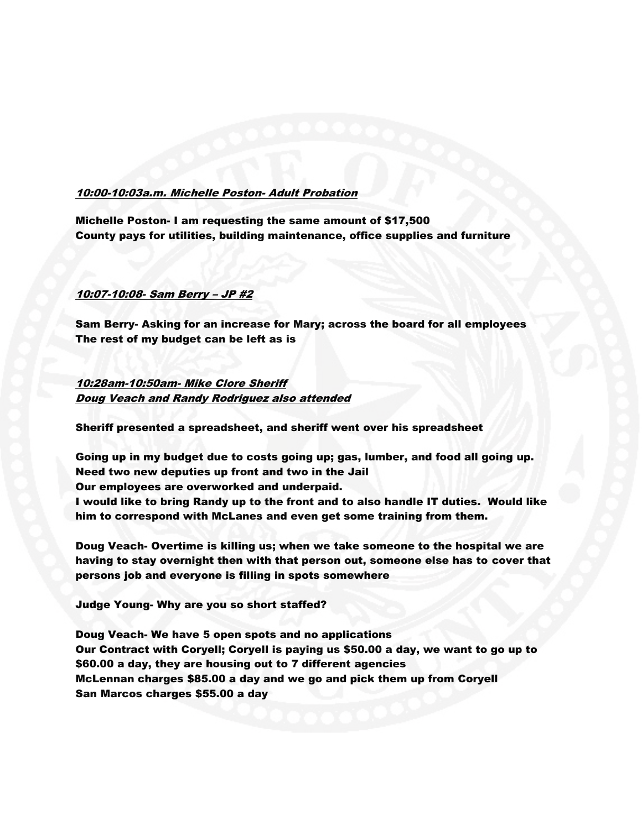## 10:00-10:03a.m. Michelle Poston- Adult Probation

Michelle Poston- I am requesting the same amount of \$17,500 County pays for utilities, building maintenance, office supplies and furniture

## 10:07-10:08- Sam Berry – JP #2

Sam Berry- Asking for an increase for Mary; across the board for all employees The rest of my budget can be left as is

# 10:28am-10:50am- Mike Clore Sheriff Doug Veach and Randy Rodriguez also attended

Sheriff presented a spreadsheet, and sheriff went over his spreadsheet

Going up in my budget due to costs going up; gas, lumber, and food all going up. Need two new deputies up front and two in the Jail Our employees are overworked and underpaid.

I would like to bring Randy up to the front and to also handle IT duties. Would like him to correspond with McLanes and even get some training from them.

Doug Veach- Overtime is killing us; when we take someone to the hospital we are having to stay overnight then with that person out, someone else has to cover that persons job and everyone is filling in spots somewhere

Judge Young- Why are you so short staffed?

Doug Veach- We have 5 open spots and no applications Our Contract with Coryell; Coryell is paying us \$50.00 a day, we want to go up to \$60.00 a day, they are housing out to 7 different agencies McLennan charges \$85.00 a day and we go and pick them up from Coryell San Marcos charges \$55.00 a day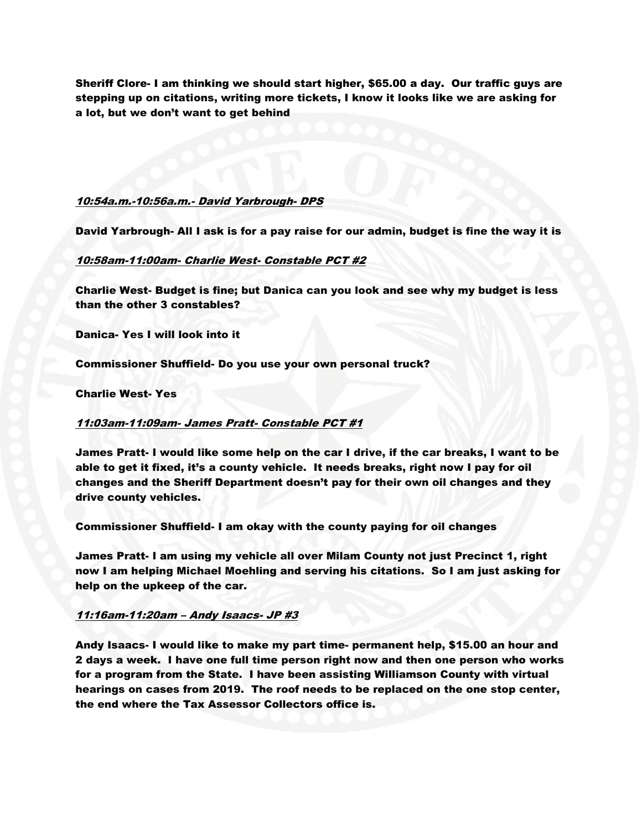Sheriff Clore- I am thinking we should start higher, \$65.00 a day. Our traffic guys are stepping up on citations, writing more tickets, I know it looks like we are asking for a lot, but we don't want to get behind

#### 10:54a.m.-10:56a.m.- David Yarbrough- DPS

David Yarbrough- All I ask is for a pay raise for our admin, budget is fine the way it is

## 10:58am-11:00am- Charlie West- Constable PCT #2

Charlie West- Budget is fine; but Danica can you look and see why my budget is less than the other 3 constables?

Danica- Yes I will look into it

Commissioner Shuffield- Do you use your own personal truck?

### Charlie West- Yes

#### 11:03am-11:09am- James Pratt- Constable PCT #1

James Pratt- I would like some help on the car I drive, if the car breaks, I want to be able to get it fixed, it's a county vehicle. It needs breaks, right now I pay for oil changes and the Sheriff Department doesn't pay for their own oil changes and they drive county vehicles.

Commissioner Shuffield- I am okay with the county paying for oil changes

James Pratt- I am using my vehicle all over Milam County not just Precinct 1, right now I am helping Michael Moehling and serving his citations. So I am just asking for help on the upkeep of the car.

#### 11:16am-11:20am – Andy Isaacs- JP #3

Andy Isaacs- I would like to make my part time- permanent help, \$15.00 an hour and 2 days a week. I have one full time person right now and then one person who works for a program from the State. I have been assisting Williamson County with virtual hearings on cases from 2019. The roof needs to be replaced on the one stop center, the end where the Tax Assessor Collectors office is.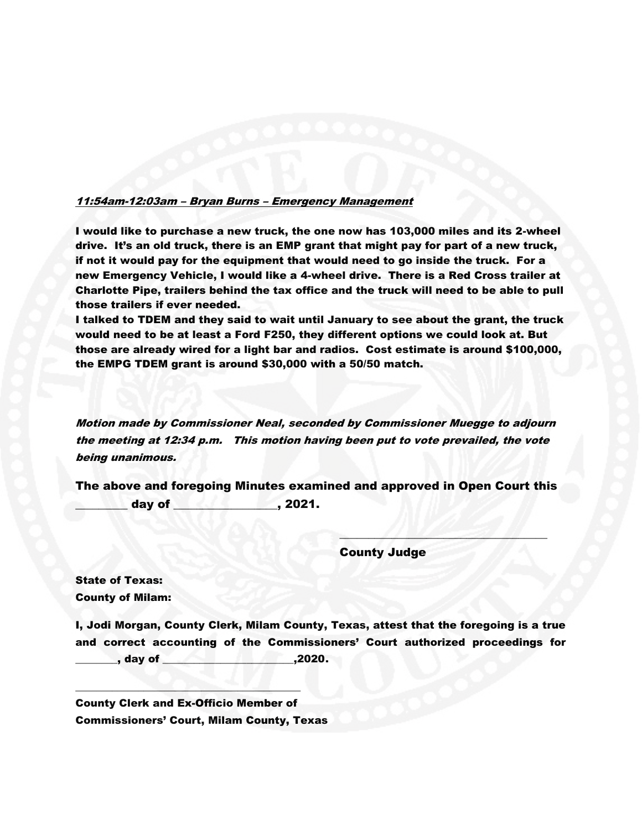## 11:54am-12:03am – Bryan Burns – Emergency Management

I would like to purchase a new truck, the one now has 103,000 miles and its 2-wheel drive. It's an old truck, there is an EMP grant that might pay for part of a new truck, if not it would pay for the equipment that would need to go inside the truck. For a new Emergency Vehicle, I would like a 4-wheel drive. There is a Red Cross trailer at Charlotte Pipe, trailers behind the tax office and the truck will need to be able to pull those trailers if ever needed.

I talked to TDEM and they said to wait until January to see about the grant, the truck would need to be at least a Ford F250, they different options we could look at. But those are already wired for a light bar and radios. Cost estimate is around \$100,000, the EMPG TDEM grant is around \$30,000 with a 50/50 match.

Motion made by Commissioner Neal, seconded by Commissioner Muegge to adjourn the meeting at 12:34 p.m. This motion having been put to vote prevailed, the vote being unanimous.

The above and foregoing Minutes examined and approved in Open Court this day of \_\_\_\_\_\_\_\_\_\_\_\_\_\_\_\_\_\_\_\_, 2021.

County Judge

 $\sim$   $(11122 - 3727)$ 

State of Texas: County of Milam:

I, Jodi Morgan, County Clerk, Milam County, Texas, attest that the foregoing is a true and correct accounting of the Commissioners' Court authorized proceedings for \_\_\_\_\_\_\_\_, day of \_\_\_\_\_\_\_\_\_\_\_\_\_\_\_\_\_\_\_\_\_\_\_\_\_,2020.

County Clerk and Ex-Officio Member of Commissioners' Court, Milam County, Texas

\_\_\_\_\_\_\_\_\_\_\_\_\_\_\_\_\_\_\_\_\_\_\_\_\_\_\_\_\_\_\_\_\_\_\_\_\_\_\_\_\_\_\_